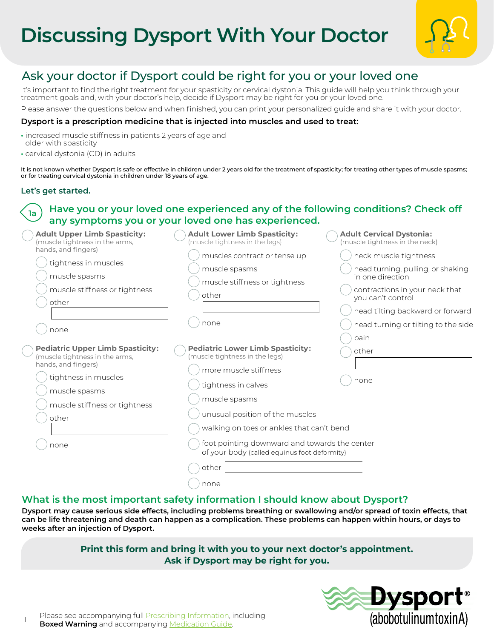# **Discussing Dysport With Your Doctor**



# Ask your doctor if Dysport could be right for you or your loved one

It's important to find the right treatment for your spasticity or cervical dystonia. This guide will help you think through your treatment goals and, with your doctor's help, decide if Dysport may be right for you or your loved one.

Please answer the questions below and when finished, you can print your personalized guide and share it with your doctor.

#### **Dysport is a prescription medicine that is injected into muscles and used to treat:**

- **•** increased muscle stiffness in patients 2 years of age and older with spasticity
- **•** cervical dystonia (CD) in adults

It is not known whether Dysport is safe or effective in children under 2 years old for the treatment of spasticity; for treating other types of muscle spasms; or for treating cervical dystonia in children under 18 years of age.

#### **Let's get started.**

1

#### **Have you or your loved one experienced any of the following conditions? Check off any symptoms you or your loved one has experienced. 1a**

| <b>Adult Upper Limb Spasticity:</b><br>(muscle tightness in the arms,                                                                                                                       | <b>Adult Lower Limb Spasticity:</b><br>(muscle tightness in the legs)                                                                                                                                                                                                                                                       | <b>Adult Cervical Dystonia:</b><br>(muscle tightness in the neck) |
|---------------------------------------------------------------------------------------------------------------------------------------------------------------------------------------------|-----------------------------------------------------------------------------------------------------------------------------------------------------------------------------------------------------------------------------------------------------------------------------------------------------------------------------|-------------------------------------------------------------------|
| hands, and fingers)<br>tightness in muscles                                                                                                                                                 | muscles contract or tense up                                                                                                                                                                                                                                                                                                | neck muscle tightness                                             |
| muscle spasms                                                                                                                                                                               | muscle spasms<br>muscle stiffness or tightness                                                                                                                                                                                                                                                                              | head turning, pulling, or shaking<br>in one direction             |
| muscle stiffness or tightness                                                                                                                                                               | other                                                                                                                                                                                                                                                                                                                       | contractions in your neck that<br>you can't control               |
| other                                                                                                                                                                                       |                                                                                                                                                                                                                                                                                                                             | head tilting backward or forward                                  |
| none                                                                                                                                                                                        | none                                                                                                                                                                                                                                                                                                                        | head turning or tilting to the side                               |
| <b>Pediatric Upper Limb Spasticity:</b><br>(muscle tightness in the arms,<br>hands, and fingers)<br>tightness in muscles<br>muscle spasms<br>muscle stiffness or tightness<br>other<br>none | <b>Pediatric Lower Limb Spasticity:</b><br>(muscle tightness in the legs)<br>more muscle stiffness<br>tightness in calves<br>muscle spasms<br>unusual position of the muscles<br>walking on toes or ankles that can't bend<br>foot pointing downward and towards the center<br>of your body (called equinus foot deformity) | pain<br>other<br>none                                             |
|                                                                                                                                                                                             | other<br>none                                                                                                                                                                                                                                                                                                               |                                                                   |

# **What is the most important safety information I should know about Dysport?**

**Dysport may cause serious side effects, including problems breathing or swallowing and/or spread of toxin effects, that can be life threatening and death can happen as a complication. These problems can happen within hours, or days to weeks after an injection of Dysport.**

# **Print this form and bring it with you to your next doctor's appointment. Ask if Dysport may be right for you.**

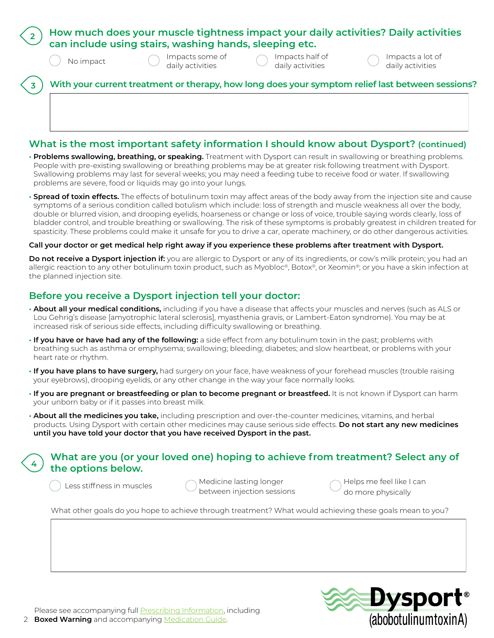|           | How much does your muscle tightness impact your daily activities? Daily activities<br>can include using stairs, washing hands, sleeping etc. |                                     |                                                                                                  |  |  |  |
|-----------|----------------------------------------------------------------------------------------------------------------------------------------------|-------------------------------------|--------------------------------------------------------------------------------------------------|--|--|--|
| No impact | Impacts some of<br>daily activities                                                                                                          | Impacts half of<br>daily activities | Impacts a lot of<br>daily activities                                                             |  |  |  |
|           |                                                                                                                                              |                                     | With your current treatment or therapy, how long does your symptom relief last between sessions? |  |  |  |

# **What is the most important safety information I should know about Dysport? (continued)**

- **• Problems swallowing, breathing, or speaking.** Treatment with Dysport can result in swallowing or breathing problems. People with pre-existing swallowing or breathing problems may be at greater risk following treatment with Dysport. Swallowing problems may last for several weeks; you may need a feeding tube to receive food or water. If swallowing problems are severe, food or liquids may go into your lungs.
- **• Spread of toxin effects.** The effects of botulinum toxin may affect areas of the body away from the injection site and cause symptoms of a serious condition called botulism which include: loss of strength and muscle weakness all over the body, double or blurred vision, and drooping eyelids, hoarseness or change or loss of voice, trouble saying words clearly, loss of bladder control, and trouble breathing or swallowing. The risk of these symptoms is probably greatest in children treated for spasticity. These problems could make it unsafe for you to drive a car, operate machinery, or do other dangerous activities.

#### **Call your doctor or get medical help right away if you experience these problems after treatment with Dysport.**

**Do not receive a Dysport injection if:** you are allergic to Dysport or any of its ingredients, or cow's milk protein; you had an allergic reaction to any other botulinum toxin product, such as Myobloc®, Botox®, or Xeomin®; or you have a skin infection at the planned injection site.

## **Before you receive a Dysport injection tell your doctor:**

- **• About all your medical conditions,** including if you have a disease that affects your muscles and nerves (such as ALS or Lou Gehrig's disease [amyotrophic lateral sclerosis], myasthenia gravis, or Lambert-Eaton syndrome). You may be at increased risk of serious side effects, including difficulty swallowing or breathing.
- **• If you have or have had any of the following:** a side effect from any botulinum toxin in the past; problems with breathing such as asthma or emphysema; swallowing; bleeding; diabetes; and slow heartbeat, or problems with your heart rate or rhythm.
- **• If you have plans to have surgery,** had surgery on your face, have weakness of your forehead muscles (trouble raising your eyebrows), drooping eyelids, or any other change in the way your face normally looks.
- **• If you are pregnant or breastfeeding or plan to become pregnant or breastfeed.** It is not known if Dysport can harm your unborn baby or if it passes into breast milk.
- **• About all the medicines you take,** including prescription and over-the-counter medicines, vitamins, and herbal products. Using Dysport with certain other medicines may cause serious side effects. **Do not start any new medicines until you have told your doctor that you have received Dysport in the past.**

# **What are you (or your loved one) hoping to achieve from treatment? Select any of the options below.**

Medicine lasting longer between injection sessions Less stiffness in muscles  $\bigcap$  Medicine lasting longer  $\bigcap$  Helps me feel like I can

do more physically

What other goals do you hope to achieve through treatment? What would achieving these goals mean to you?



**4**